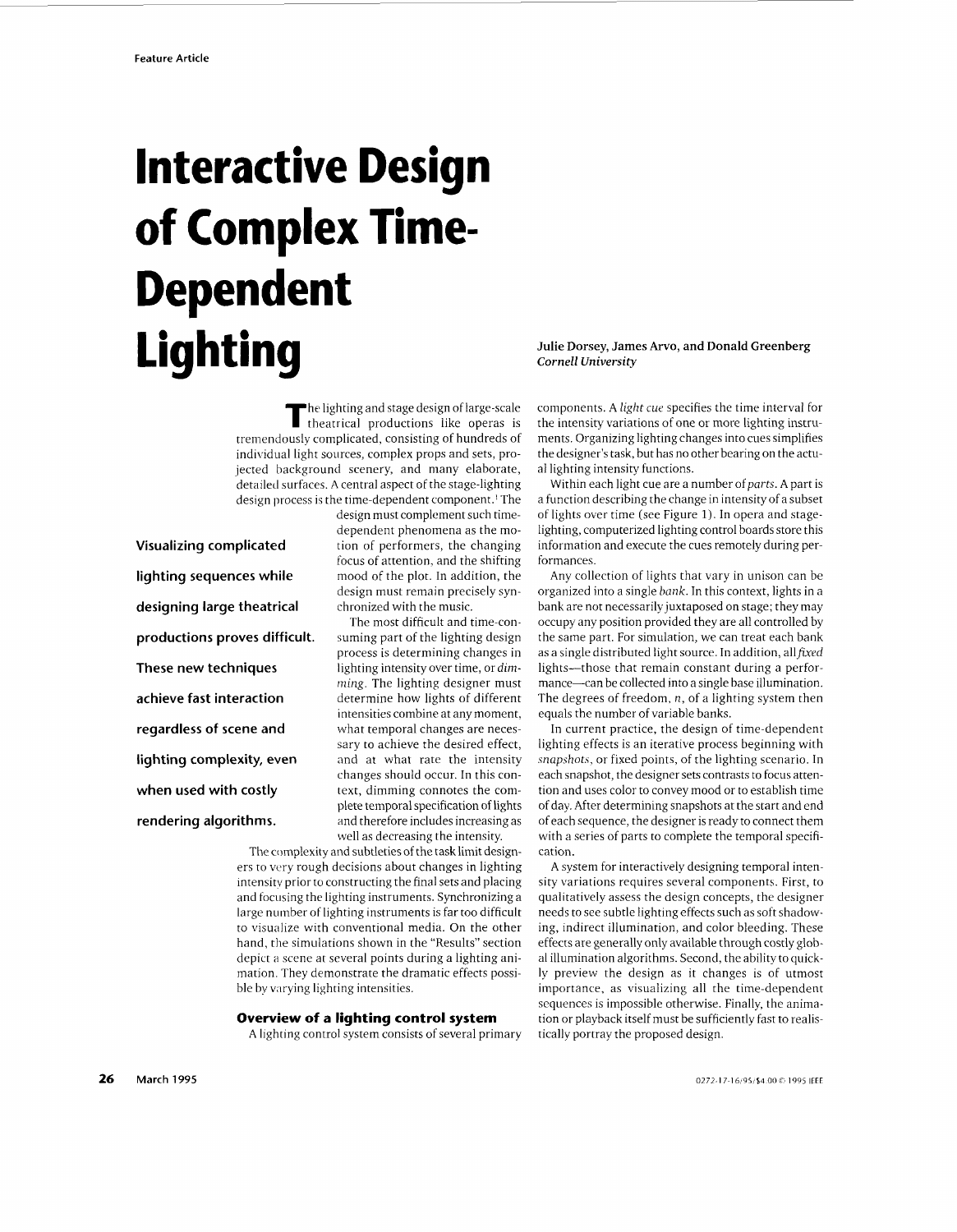# **Interactive Design of Complex Time-Dependent**  Lighting

he lighting and stage design of large-scale **T** theatrical productions like operas is tremendously complicated, consisting of hundreds of individual light sources, complex props and sets, projected background scenery, and many elaborate, detailed surfaces. A central aspect of the stage-lighting design process is the time-dependent component.' The

**Visualizing complicated lighting sequences while designing large theatrical productions proves difficult. These new techniques achieve fast interaction regardless of scene and lighting complexity, even when used with costly rendering algorithms.** 

design must complement such timedependent phenomena as the motion of performers, the changing focus of attention, and the shifting mood of the plot. In addition, the design must remain precisely synchronized with the music.

The most difficult and time-consuming part of the lighting design process is determining changes in lighting intensity over time, or dim*ming.* The lighting designer must determine how lights of different intensities combine at any moment, what temporal changes are necessary to achieve the desired effect, and at what rate the intensity changes should occur. In this context, dimming connotes the complete temporal specification of lights and therefore includes increasing as well as decreasing the intensity.

The complexity and subtleties of the tasklimit designers to very rough decisions about changes in lighting intensity prior to constructing the final sets and placing and focusing the lighting instruments. Synchronizing a large number of lighting instruments is far too difficult to visualize with conventional media. On the other hand, the simulations shown in the "Results" section depict a scene at several points during a lighting animation. They demonstrate the dramatic effects possible by varying lighting intensities.

#### **Overview of a lighting control system**

A lighting control system consists of several primary

## **Julie Dorsey, James Arvo, and Donald Greenberg**  *Cornell University*

components. A light *cue* specifies the time interval for the intensity variations of one or more lighting instruments. Organizing lighting changes into cues simplifies the designer's task, but has no other bearing on the actual lighting intensity functions.

Within each light cue are a number of *parts*. A part is a function describing the change in intensity of a subset of lights over time (see Figure 1). In opera and stagelighting, computerized lighting control boards store this information and execute the cues remotely during performances.

Any collection of lights that vary in unison can be organized into a single *bunk.* In this context, lights in a bank are not necessarily juxtaposed on stage; they may occupy any position provided they are all controlled by the same part. For simulation, we can treat each bank as a single distributed light source. In addition, all  $fixed$ lights--those that remain constant during a performance-can be collected into a single base illumination. The degrees of freedom, *n,* of a lighting system then equals the number of variable banks.

In current practice, the design of time-dependent lighting effects is an iterative process beginning with *snapshots,* or fixed points, of the lighting scenario. In each snapshot, the designer sets contrasts to focus attention and uses color to convey mood or to establish time of day. After determining snapshots at the start and end of each sequence, the designer is ready to connect them with a series of parts to complete the temporal specification.

A system for interactively designing temporal intensity variations requires several components. First, to qualitatively assess the design concepts, the designer needs to see subtle lighting effects such as soft shadowing, indirect illumination, and color bleeding. These effects are generally only available through costly global illumination algorithms. Second, the ability to quickly preview the design as it changes is of utmost importance, as visualizing all the time-dependent sequences is impossible otherwise. Finally, the animation or playback itself must be sufficiently fast to realistically portray the proposed design.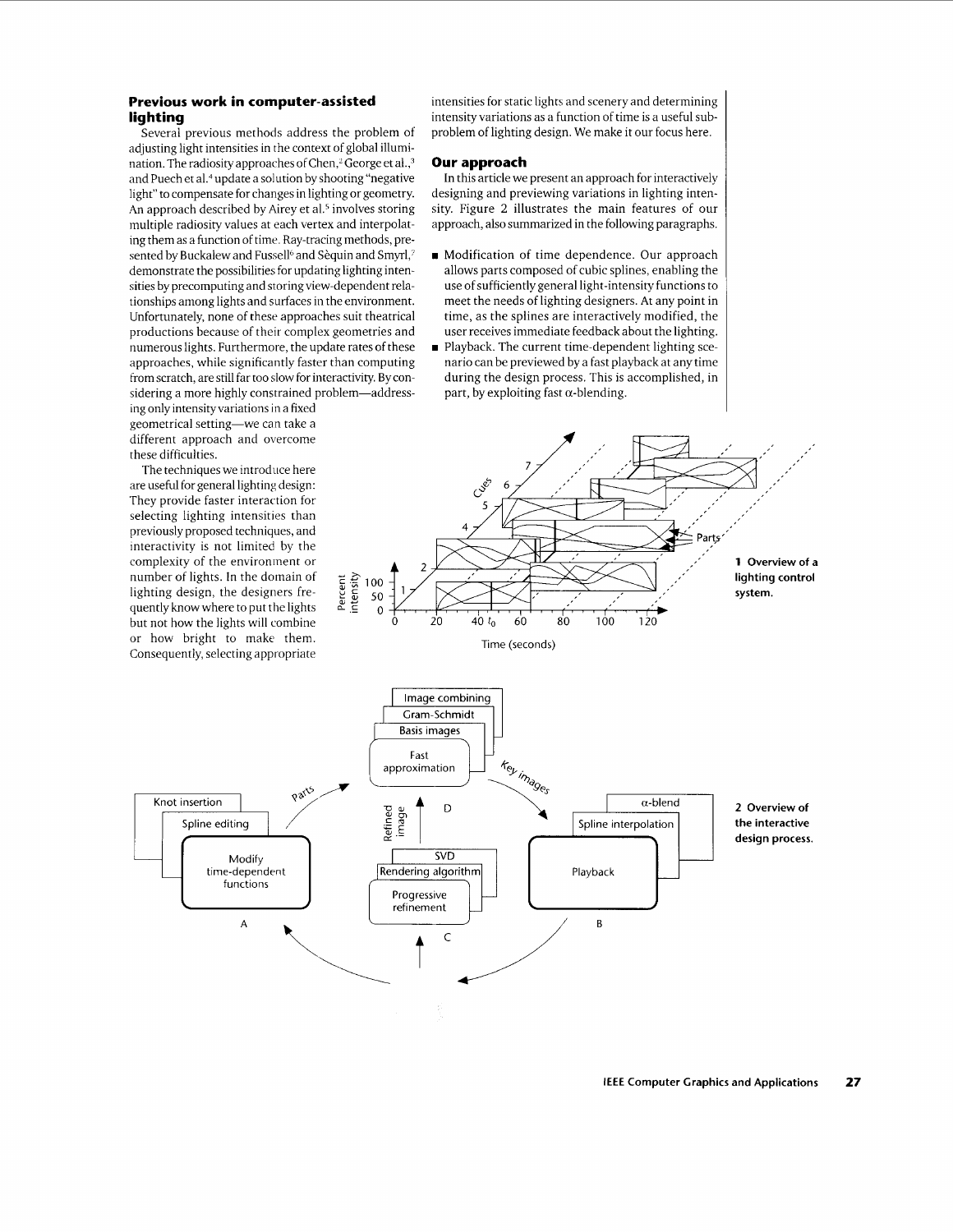# **Previous work in computer-assisted lighting**

Several previous methods address the problem of adjusting light intensities in the context of global illumination. The radiosity approaches of Chen,<sup>2</sup> George et al.,<sup>3</sup> and Puech et **aL4** update a solution by shooting "negative light" to compensate for changes in lighting or geometry. An approach described by Airey et al.<sup>5</sup> involves storing multiple radiosity values at each vertex and interpolating them as a function of time. Ray-tracing methods, presented by Buckalew and Fussell<sup>6</sup> and Sèquin and Smyrl,<sup>7</sup> demonstrate the possibilities for updating lighting intensities by precomputing and storing view-dependent relationships among lights and surfaces in the environment. Unfortunately, none of these approaches suit theatrical productions because of their complex geometries and numerous lights. Furthermore, the update rates of these approaches, while significantly faster than computing from scratch, are still far too slow for interactivity. Byconsidering a more highly constrained problem-addressing only intensity variations in a fixed

geometrical setting-we can take a different approach and overcome these difficulties.

The techniques we introduce here are useful for general lighting design: They provide faster interaction for selecting lighting intensities than previously proposed techniques, and interactivity is not limited by the complexity of the environment or number of lights. In the domain of lighting design, the designers frequently know where to put the lights but not how the lights will combine or how bright to make them. Consequently, selecting appropriate

intensities for static lights and scenery and determining intensity variations as a function of time is a useful subproblem of lighting design. We make it our focus here.

#### **Our approach**

In this article we present an approach for interactively designing and previewing variations in lighting intensity. Figure 2 illustrates the main features of our approach, also summarized in the following paragraphs.

- Modification of time dependence. Our approach allows parts composed of cubic splines, enabling the use of sufficiently general light-intensity functions to meet the needs of lighting designers. At any point in time, as the splines are interactively modified, the user receives immediate feedback about the lighting.
- **Playback.** The current time-dependent lighting scenario can be previewed by a fast playback at any time during the design process. This is accomplished, in part, by exploiting fast  $\alpha$ -blending.



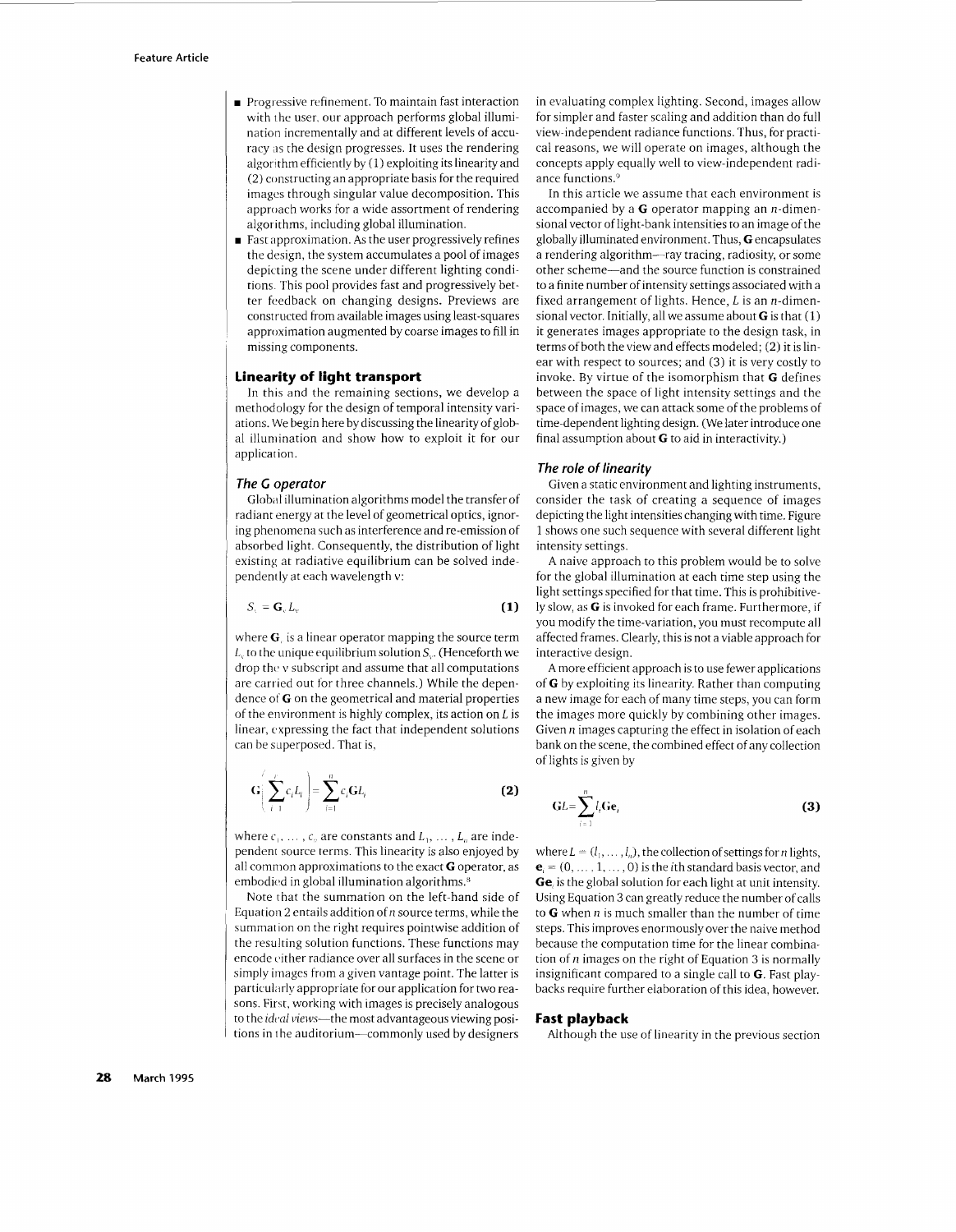- **Progressive refinement. To maintain fast interaction** with the user, our approach performs global illumination incrementally and at different levels of accuracy as the design progresses. It uses the rendering algorithm efficiently by (1) exploiting its linearityand (2) constructing an appropriate basis for the required images through singular value decomposition. This approach works for a wide assortment of rendering algorithms, including global illumination.
- **<sup>w</sup>**Fast approximation. As the user progressively refines the design, the system accumulates a pool of images depicting the scene under different lighting conditions. This pool provides fast and progressively better feedback on changing designs. Previews are constructed from available images using least-squares approximation augmented by coarse images to fill in missing components.

## **Linearity of light transport**

In this and the remaining sections, we develop a methodology for the design of temporal intensity variations. We begin here by discussing the linearityof global illuniination and show how to exploit it for our application.

#### *The C operator*

Global illumination algorithms model the transfer of radiant energy at the level of geometrical optics, ignoring phenomena such as interference and re-emission of absorbed light. Consequently, the distribution of light existing at radiative equilibrium can be solved independently at each wavelength v:

$$
S_{y} = \mathbf{G}_{y} L_{y}
$$
 (1)

where **G**, is a linear operator mapping the source term  $L<sub>v</sub>$  to the unique equilibrium solution  $S<sub>v</sub>$ . (Henceforth we drop the, v subscript and assume that all computations are carried out for three channels.) While the dependence **otG** on the geometrical and material properties of the environment is highly complex, its action on *L* is linear, expressing the fact that independent solutions can he superposed. That is,

$$
\mathbf{G}\bigg(\sum_{i=1}^{P}c_{i}L_{i}\bigg)=\sum_{i=1}^{n}c_{i}\mathbf{G}L_{i}
$$
\n(2)

where  $c_1, \ldots, c_n$  are constants and  $L_1, \ldots, L_n$  are independenr source terms. This linearity is also enjoyed by all common approximations to the exact **G** operator, as embodied in global illumination algorithms.<sup>8</sup>

Note that the summation on the left-hand side of Equation 2 entails addition of *n* source terms, while the summation on the right requires pointwise addition of the resulting solution functions. These functions may encode either radiance over all surfaces in the scene or simply images from a given vantage point. The latter is particularly appropriate for our application for two reasons. First. working with images is precisely analogous to the *ideal views*-the most advantageous viewing positions in the auditorium-commonly used by designers

in evaluating complex lighting. Second, images allow for simpler and faster scaling and addition than do full view-independent radiance functions. Thus, for practical reasons, we will operate on images, although the concepts apply equally well to view-independent radiance functions.<sup>9</sup>

In this article we assume that each environment is accompanied by a **G** operator mapping an n-dimensional vector of light-bank intensities to an image of the globally illuminated environment. Thus, **G** encapsulates a rendering algorithm-ray tracing, radiosity, or some other scheme-and the source function is constrained to a finite number of intensity settings associated with a fixed arrangement of lights. Hence, *L* is an n-dimensional vector. Initially, all we assume about **G** is that (1) it generates images appropriate to the design task, in terms of both the view and effects modeled; (2) it is linear with respect to sources; and (3) it is very costly to invoke. By virtue of the isomorphism that **G** defines between the space of light intensity settings and the space of images, we can attack some of the problems of time-dependent lighting design. (We later introduce one final assumption about **G** to aid in interactivity.)

## *The role of linearity*

Given a static environment and lighting instruments, consider the task of creating a sequence of images depicting the light intensities changing with time. Figure 1 shows one such sequence with several different light intensity settings.

A naive approach to this problem would be to solve for the global illumination at each time step using the light settings specified for that time. This is prohibitively slow, as *G* is invoked for each frame. Furthermore, if you modify the time-variation, you must recompute all affected frames. Clearly, this is not a viable approach for interactive design.

A more efficient approach is to use fewer applications of **G** by exploiting its linearity. Rather than computing a new image for each of many time steps, you can form the images more quickly by combining other images. Given n images capturing the effect in isolation of each bank on the scene. the combined effect of any collection of lights is given by

$$
\mathbf{GL}=\sum_{i=1}^{n}l_{i}\mathbf{Ge}_{i}
$$
 (3)

where  $L = (l_1, \ldots, l_n)$ , the collection of settings for *n* lights,  **is the** *i***th standard basis vector, and Ge,** is the global solution for each light at unit intensity. Using Equation 3 can greatly reduce the number of calls to **G** when  $n$  is much smaller than the number of time steps. This improves enormously over the naive method because the computation time for the linear combination of *n* images on the right of Equation 3 is normally insignificant compared to a single call to **G.** Fast playbacks require further elaboration of this idea, however.

## **Fast playback**

Although the use of linearity in the previous section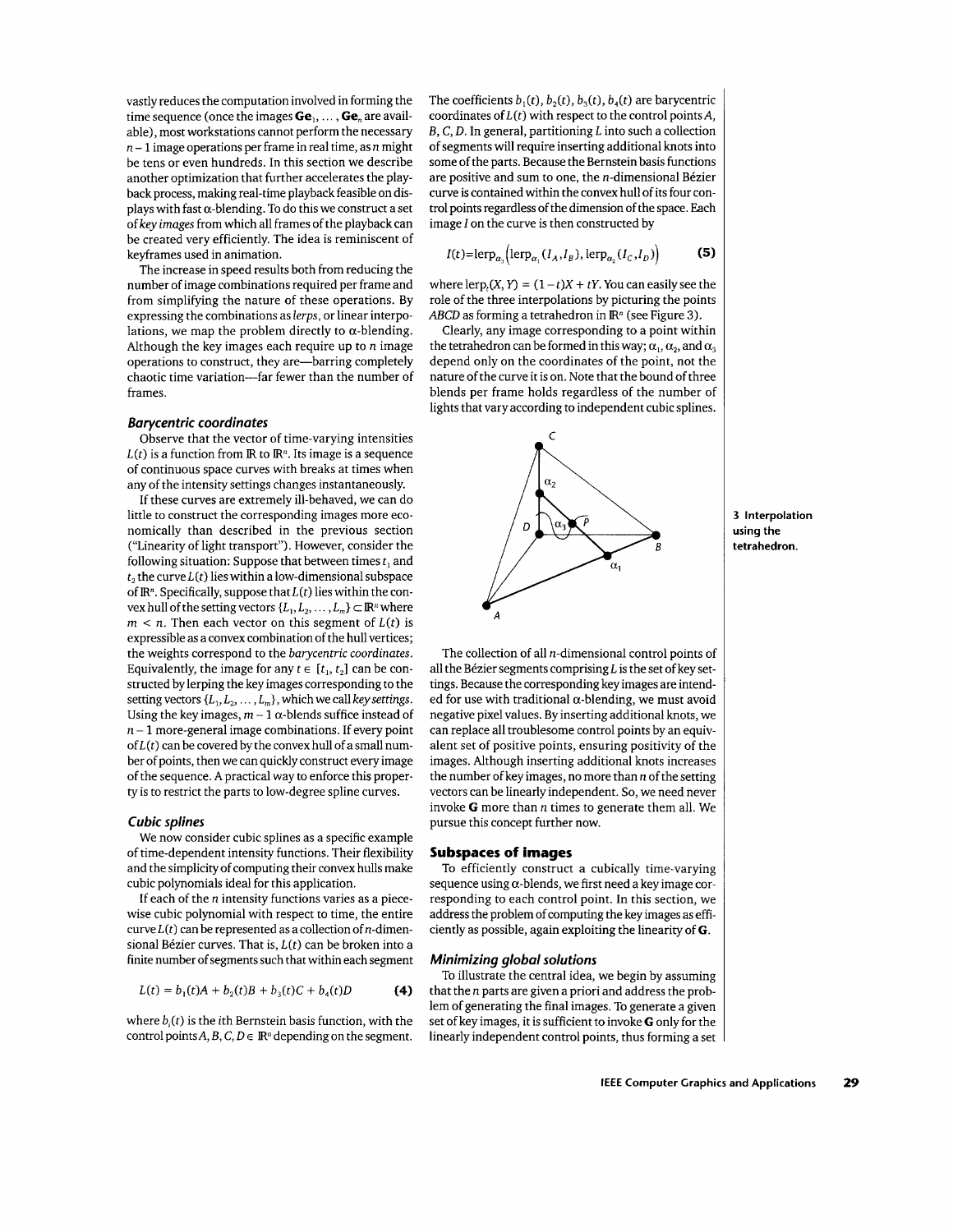vastly reduces the computation involved in forming the time sequence (once the images **Ge**<sub>1</sub>, ..., **Ge**<sub>n</sub> are available), most workstations cannot perform the necessary  $n-1$  image operations per frame in real time, as n might be tens or even hundreds. In this section we describe another optimization that further accelerates the playback process, making real-time playback feasible on displays with fast  $\alpha$ -blending. To do this we construct a set of key images from which all frames of the playbackcan be created very efficiently. The idea is reminiscent of keyframes used in animation.

The increase in speed results both from reducing the number of image combinations required per frame and from simplifying the nature of these operations. By expressing the combinations as lerps, or linear interpolations, we map the problem directly to  $\alpha$ -blending. Although the key images each require up to  $n$  image operations to construct, they are—barring completely chaotic time variation-far fewer than the number of frames.

#### *Barycentric coordinates*

Observe that the vector of time-varying intensities  $L(t)$  is a function from  $\mathbb{R}$  to  $\mathbb{R}^n$ . Its image is a sequence of continuous space curves with breaks at times when any of the intensity settings changes instantaneously.

If these curves are extremely ill-behaved, we can do little to construct the corresponding images more economically than described in the previous section ("Linearity of light transport"). However, consider the following situation: Suppose that between times *t,* and  $t_2$ , the curve  $L(t)$  lies within a low-dimensional subspace of  $\mathbb{R}^n$ . Specifically, suppose that  $L(t)$  lies within the convex hull of the setting vectors  $\{L_1, L_2, \ldots, L_m\} \subset \mathbb{R}^n$  where  $m < n$ . Then each vector on this segment of  $L(t)$  is expressible as a convex combination of the hull vertices; the weights correspond to the barycentric coordinates. Equivalently, the image for any  $t \in [t_1, t_2]$  can be constructed by lerping the key images corresponding to the setting vectors  $\{L_1, L_2, \ldots, L_m\}$ , which we call key settings. Using the key images,  $m - 1$   $\alpha$ -blends suffice instead of  $n-1$  more-general image combinations. If every point  $of L(t)$  can be covered by the convex hull of a small number of points, then we can quickly construct every image of the sequence. A practical way to enforce this property is to restrict the parts to low-degree spline curves.

## *Cubic splines*

We now consider cubic splines as a specific example of time-dependent intensity functions. Their flexibility and the simplicity of computing their convex hulls make cubic polynomials ideal for this application.

If each of the *n* intensity functions varies as a piecewise cubic polynomial with respect to time, the entire curve  $L(t)$  can be represented as a collection of *n*-dimensional Bézier curves. That is, *L*(*t*) can be broken into a finite number of segments such that within each segment

$$
L(t) = b_1(t)A + b_2(t)B + b_3(t)C + b_4(t)D
$$
 (4)

where  $b_i(t)$  is the *i*th Bernstein basis function, with the control points  $A, B, C, D \in \mathbb{R}^n$  depending on the segment. The coefficients  $b_1(t)$ ,  $b_2(t)$ ,  $b_3(t)$ ,  $b_4(t)$  are barycentric coordinates of  $L(t)$  with respect to the control points A, *B,* C, D. In general, partitioning *L* into such a collection of segments will require inserting additional knots into some of the parts. Because the Bernstein basis functions are positive and sum to one, the  $n$ -dimensional Bézier curve is contained within the convex hull of its four control points regardless of the dimension of the space. Each image *1* on the curve is then constructed by

$$
I(t)=\text{lerp}_{\alpha_2}(\text{lerp}_{\alpha_2}(I_A,I_B),\text{lerp}_{\alpha_2}(I_C,I_D))
$$
 (5)

where lerp,  $(X, Y) = (1 - t)X + tY$ . You can easily see the role of the three interpolations by picturing the points *ABCD* as forming a tetrahedron in **IR"** (see Figure **3).** 

Clearly, any image corresponding to a point within the tetrahedron can be formed in this way;  $\alpha_1, \alpha_2$ , and  $\alpha_3$ depend only on the coordinates of the point, not the nature of the curve it is on. Note that the bound of three blends per frame holds regardless of the number of lights that vary according to independent cubic splines.



*A*  The collection of all  $n$ -dimensional control points of all the Bézier segments comprising *L* is the set of key settings. Because the corresponding key images are intended for use with traditional  $\alpha$ -blending, we must avoid negative pixel values. By inserting additional knots, we can replace all troublesome control points by an equivalent set of positive points, ensuring positivity of the images. Although inserting additional knots increases the number of key images, no more than *n* of the setting vectors can be linearly independent. So, we need never invoke *G* more than *n* times to generate them all. We pursue this concept further now.

#### **Subspaces of images**

To efficiently construct a cubically time-varying sequence using  $\alpha$ -blends, we first need a key image corresponding to each control point. In this section, we address the problem of computing the key images as efficiently as possible, again exploiting the linearity of *G.* 

## *Minimizing global solutions*

To illustrate the central idea, we begin by assuming that the  $n$  parts are given a priori and address the problem of generating the final images. To generate a given set of key images, it is sufficient to invoke *G* only for the linearly independent control points, thus forming a set **3 Interpolation using the tetrahedron.**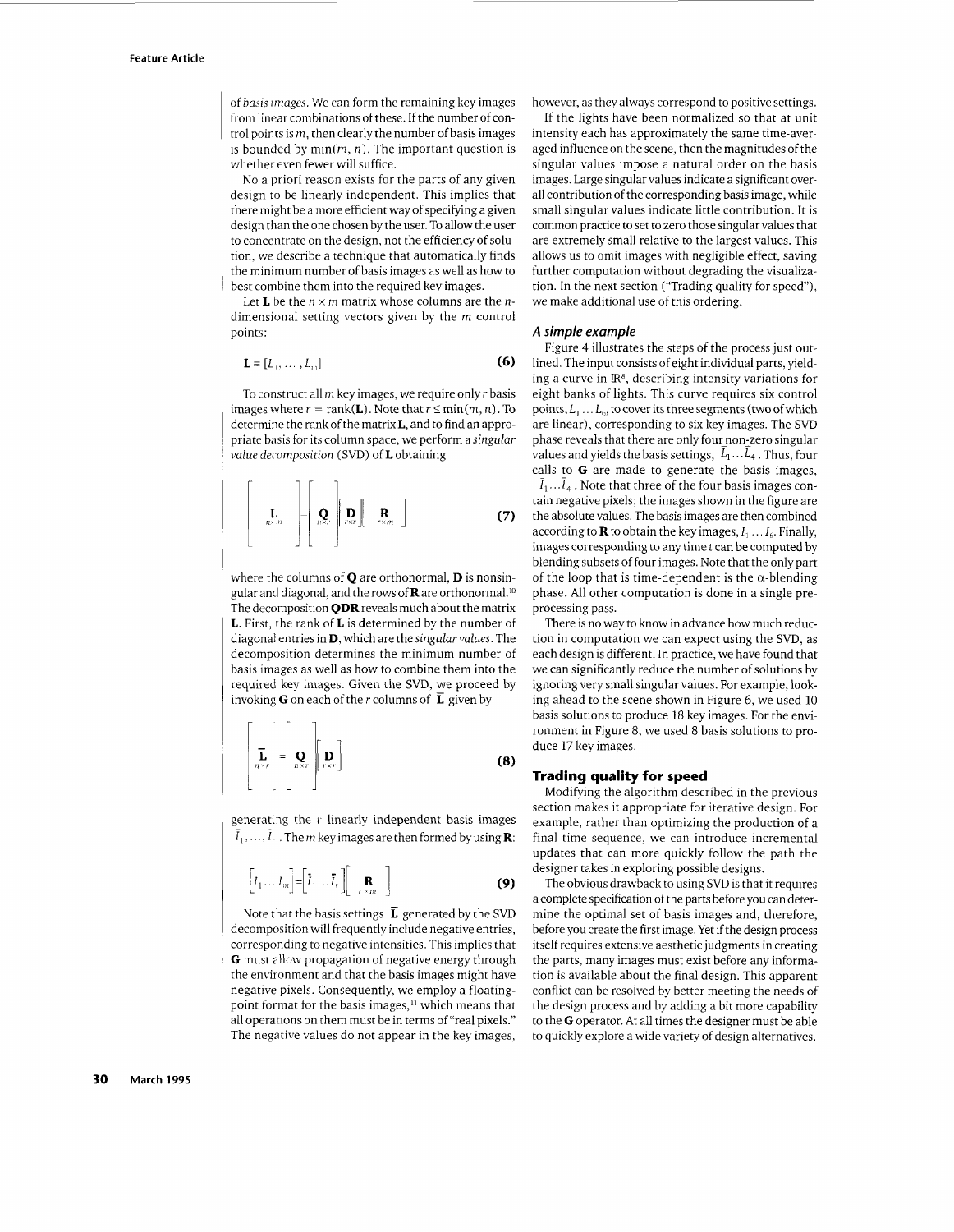of *basis irnuges.* We can form the remaining key images from linear combinations of these. If the number of control points is  $m$ , then clearly the number of basis images is bounded by  $min(m, n)$ . The important question is whether even fewer will suffice.

No a priori reason exists for the parts of any given design to be linearly independent. This implies that there might be a more efficient way of specifying a given design than the one chosen by the user. To allow the user to concentrate on the design, not the efficiency of solution, we describe a technique that automatically finds the minimum number of basis images as well as how to best combine them into the required key images.

Let **L** be the  $n \times m$  matrix whose columns are the *n*dimensional setting vectors given by the *m* control points:

$$
\mathbf{L} \equiv [L_1, \ldots, L_m]
$$
 (6)

To construct all *m* key images, we require only *r* basis images where  $r = \text{rank}(\mathbf{L})$ . Note that  $r \leq \min(m, n)$ . To determine the rankof the matrix **L,** and to find an appropriate basis for its column space, we perform a *singular value decmzposition* (SVD) of **L** obtaining

$$
\left[\begin{array}{c}\n\mathbf{L} \\
\mathbf{R}^{2m}\n\end{array}\right]\n=\n\left[\begin{array}{c}\n\mathbf{Q} \\
\mathbf{Q}x\n\end{array}\right]\n\left[\begin{array}{c}\n\mathbf{D} \\
P^{\text{ext}}\n\end{array}\right]\n\mathbf{R} \n\tag{7}
$$

where the columns of Q are orthonormal, **D** is nonsingular and diagonal, and the rows of **R** are orthonormal.<sup>10</sup> The decomposition  $\bf{QDR}$  reveals much about the matrix L. First, the rank of **L** is determined by the number of diagonal entries in **D,** which are the *singularvalues.* The decomposition determines the minimum number of basis images as well as how to combine them into the required key images. Given the SVD, we proceed by invoking **G** on each of the *r* columns of  $\overline{L}$  given by

$$
\left[\begin{array}{c}\n\overline{\mathbf{L}} \\
n-r\n\end{array}\right]=\left[\begin{array}{c}\n\mathbf{Q} \\
n\times r\n\end{array}\right]\n\left[\begin{array}{c}\n\mathbf{D} \\
r\times r\n\end{array}\right]
$$
\n(8)

generating the *r* linearly independent basis images  $\overline{I}_1, \ldots, \overline{I}_r$ . The *m* key images are then formed by using **R**:

$$
\left[I_1 \dots I_m\right] = \left[\tilde{I}_1 \dots \tilde{I}_r\right] \left[\begin{array}{c} \mathbf{R} \\ r > m \end{array}\right]
$$
 (9)

Note that the basis settings **E** generated by the SVD decomposition will frequently include negative entries, corresponding to negative intensities. This implies that *G* must allow propagation of negative energy through the environment and that the basis images might have negative pixels. Consequently, we employ a floatingpoint format for the basis images,<sup>11</sup> which means that all operations on them must be in terms of "real pixels." The negative values do not appear in the key images, however, as they always correspond to positive settings.

If the lights have been normalized so that at unit intensity each has approximately the same time-averaged influence on the scene, then the magnitudes of the singular values impose a natural order on the basis images. Large singular values indicate a significant overall contribution of the corresponding basis image, while small singular values indicate little contribution. It is common practice to set to zero those singular values that are extremely small relative to the largest values. This allows us to omit images with negligible effect, saving further computation without degrading the visualization. In the next section ("Trading quality for speed"), we make additional use of this ordering.

#### *A simple example*

Figure 4 illustrates the steps of the process just outlined. The input consists of eight individual parts, yielding a curve in **R8,** describing intensity variations for eight banks of lights. This curve requires six control points,  $L_1 \ldots L_6$ , to cover its three segments (two of which are linear), corresponding to six key images. The SVD phase reveals that there are only fournon-zero singular values and yields the basis settings,  $L_1...L_4$ . Thus, four calls to *G* are made to generate the basis images,  $\overline{I}_1 \dots \overline{I}_4$ . Note that three of the four basis images contain negative pixels; the images shown in the figure are the absolute values. The basis images are then combined according to **R** to obtain the key images,  $I_1 \ldots I_6$ . Finally, images corresponding to any time t can be computed by blending subsets of four images. Note that the only part of the loop that is time-dependent is the  $\alpha$ -blending phase. All other computation is done in a single preprocessing pass.

There is no way to know in advance how much reduction in computation we can expect using the SVD, as each design is different. In practice, we have found that we can significantly reduce the number of solutions by ignoring very small singular values. For example, looking ahead to the scene shown in Figure 6, we used 10 basis solutions to produce 18 key images. For the environment in Figure 8, we used 8 basis solutions to produce 17 key images.

#### **Trading quality for speed**

Modifying the algorithm described in the previous section makes it appropriate for iterative design. For example, rather than optimizing the production of a final time sequence, we can introduce incremental updates that can more quickly follow the path the designer takes in exploring possible designs.

The obvious drawback to using SVD is that it requires a complete specification of the parts before you can determine the optimal set of basis images and, therefore, before you create the first image. Yet if the design process itself requires extensive aesthetic judgments in creating the parts, many images must exist before any information is available about the final design. This apparent conflict can be resolved by better meeting the needs of the design process and by adding a bit more capability to the *G* operator. At all times the designer must be able to quickly explore a wide variety of design alternatives.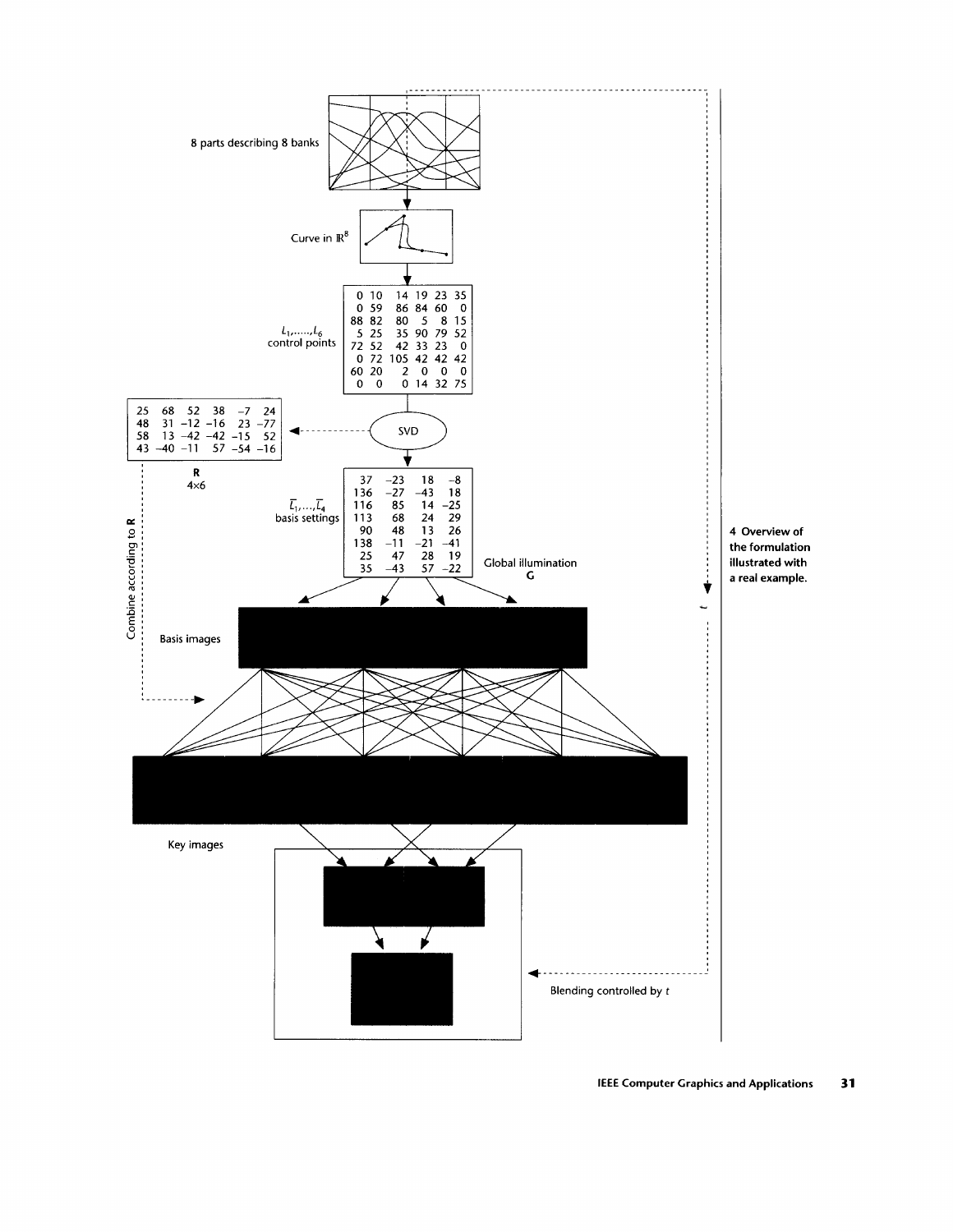

**IEEE Computer Graphics and Applications 31**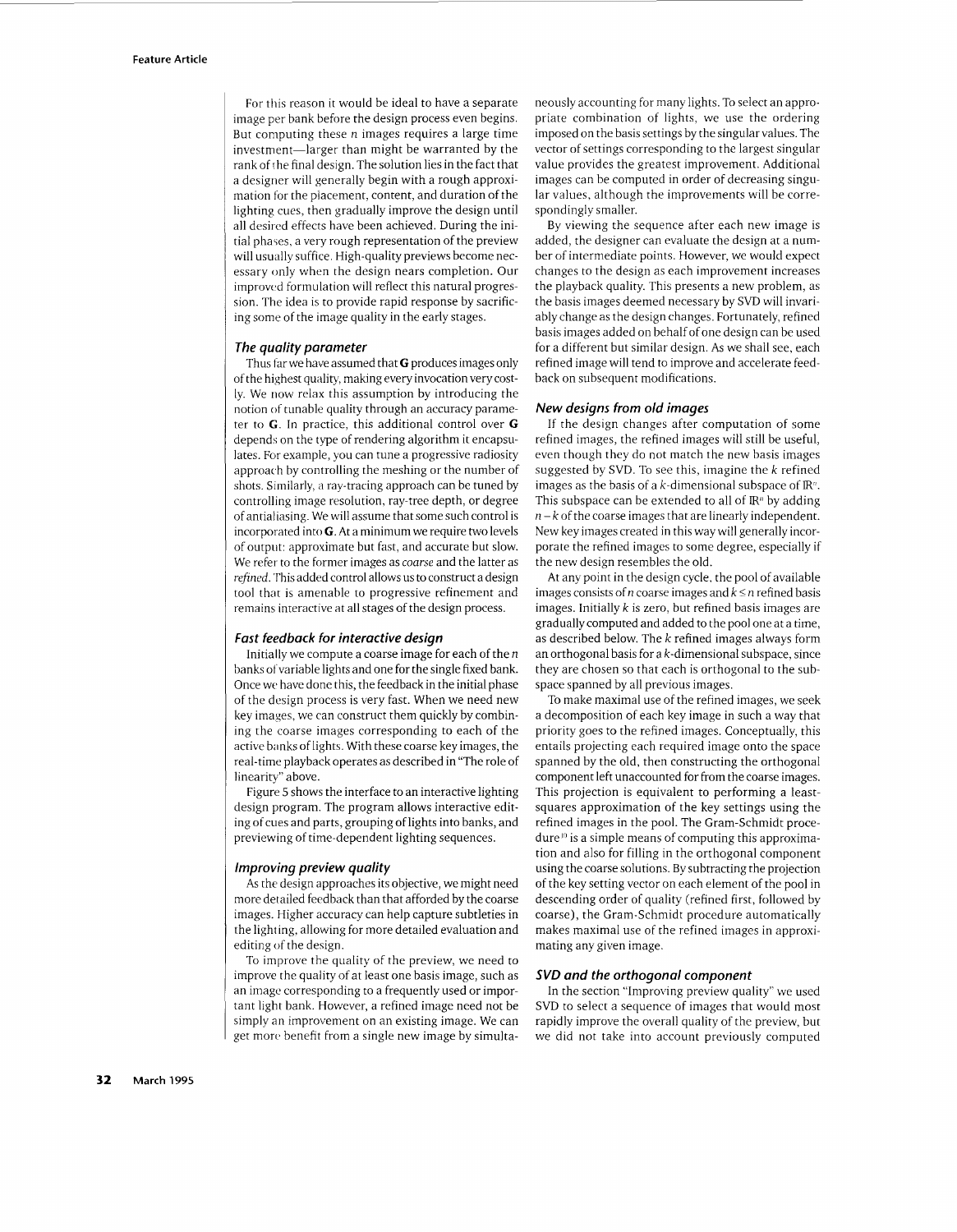For this reason it would be ideal to have a separate image per bank before the design process even begins. But computing these *n* images requires a large time investment-larger than might be warranted by the rank of rhe final design. The solution lies in the fact that a designer will generally begin with a rough approximation for the placement, content, and duration of the lighting cues, then gradually improve the design until all desired effects have been achieved. During the initial phases, a very rough representation of the preview will usually suffice. High-quality previews become necessary only when the design nears completion. Our improwad formulation will reflect this natural progression. The idea is to provide rapid response by sacrificing some of the image quality in the early stages.

#### *The quality parameter*

Thus far we have assumed that *G* produces images only of the highest quality, making every invocation verycostly. We now relax this assumption by introducing the notion of tunable quality through an accuracy parameter to *G.* In practice, this additional control over *G*  depends on the type of rendering algorithm it encapsulates. For example, you can tune a progressive radiosity approach by controlling the meshing or the number of shots. Similarly, a ray-tracing approach can be tuned by controlling image resolution, ray-tree depth, or degree ofantialiasing. We will assume that some such control is incorporated into *G.* At a minimum we require two levels of output: approximate but fast, and accurate but slow. We refer to the former images as *coarse* and the latter as *refined.* This added control allows us to construct a design tool that is amenable to progressive refinement and remains interactive at all stages of the design process.

#### *Fast feedback for interactive design*

Initially we compute a coarse image for each of the  $n$ banks of variable lights and one for the single fixed bank. Once wc have done this, the feedback in the initial phase of the design process is very fast. When we need new key images, we can construct them quickly by combining the coarse images corresponding to each of the active banks of lights. With these coarse keyimages, the real-time playback operates as described in "The role of linearity" above.

Figure 5 shows the interface to an interactive lighting design program. The program allows interactive editing of cues and parts, grouping of lights into banks, and previewing of time-dependent lighting sequences.

#### *Improving preview quality*

As the design approaches its objective, we might need more detailed feedback than that afforded by the coarse images. Higher accuracy can help capture subtleties in the lighting, allowing for more detailed evaluation and editing of the design.

To improve the quality of the preview, we need to improve the quality of at least one basis image, such as an image corresponding to a frequently used or important light bank. However, a refined image need not be simply an improvement on an existing image. We can get morc benefit from a single new image by simultaneously accounting for many lights. To select an appropriate combination of lights, we use the ordering imposed on the basis settings by the singular values. The vector of settings corresponding to the largest singular value provides the greatest improvement. Additional images can be computed in order of decreasing singular values, although the improvements will be correspondingly smaller.

By viewing the sequence after each new image is added, the designer can evaluate the design at a number of intermediate points. However, we would expect changes to the design as each improvement increases the playback quality. This presents a new problem, as the basis images deemed necessary by SVD will invariably change as the design changes. Fortunately, refined basis images added on behalf of one design can be used for a different but similar design. As we shall see, each refined image will tend to improve and accelerate feedback on subsequent modifications.

#### *New designs from old images*

If the design changes after computation of some refined images, the refined images will still be useful, even though they do not match the new basis images suggested by SVD. To see this, imagine the k refined images as the basis of a  $k$ -dimensional subspace of  $\mathbb{R}^n$ . This subspace can be extended to all of  $\mathbb{R}^n$  by adding  $n - k$  of the coarse images that are linearly independent. New key images created in this way will generally incorporate the refined images to some degree, especially if the new design resembles the old.

At any point in the design cycle, the pool of available images consists of *n* coarse images and *k 5 n* refined basis images. Initially *k* is zero, but refined basis images are graduallycomputed and added to the pool one at a time, as described below. The  $k$  refined images always form an orthogonal basis for a k-dimensional subspace, since they are chosen so that each is orthogonal to the subspace spanned by all previous images.

To make maximal use of the refined images, we seek a decomposition of each key image in such a way that priority goes to the refined images. Conceptually, this entails projecting each required image onto the space spanned by the old, then constructing the orthogonal component left unaccounted for from the coarse images. This projection is equivalent to performing a leastsquares approximation of the key settings using the refined images in the pool. The Gram-Schmidt proce $dure^{(i)}$  is a simple means of computing this approximation and also for filling in the orthogonal component using the coarse solutions. By subtracting the projection of the key setting vector on each element of the pool in descending order of quality (refined first, followed by coarse), the Gram-Schmidt procedure automatically makes maximal use of the refined images in approximating any given image.

## *SVD and the orthogonal component*

In the section "Improving preview quality" we used SVD to select a sequence of images that would most rapidly improve the overall quality of the preview, but we did not take into account previously computed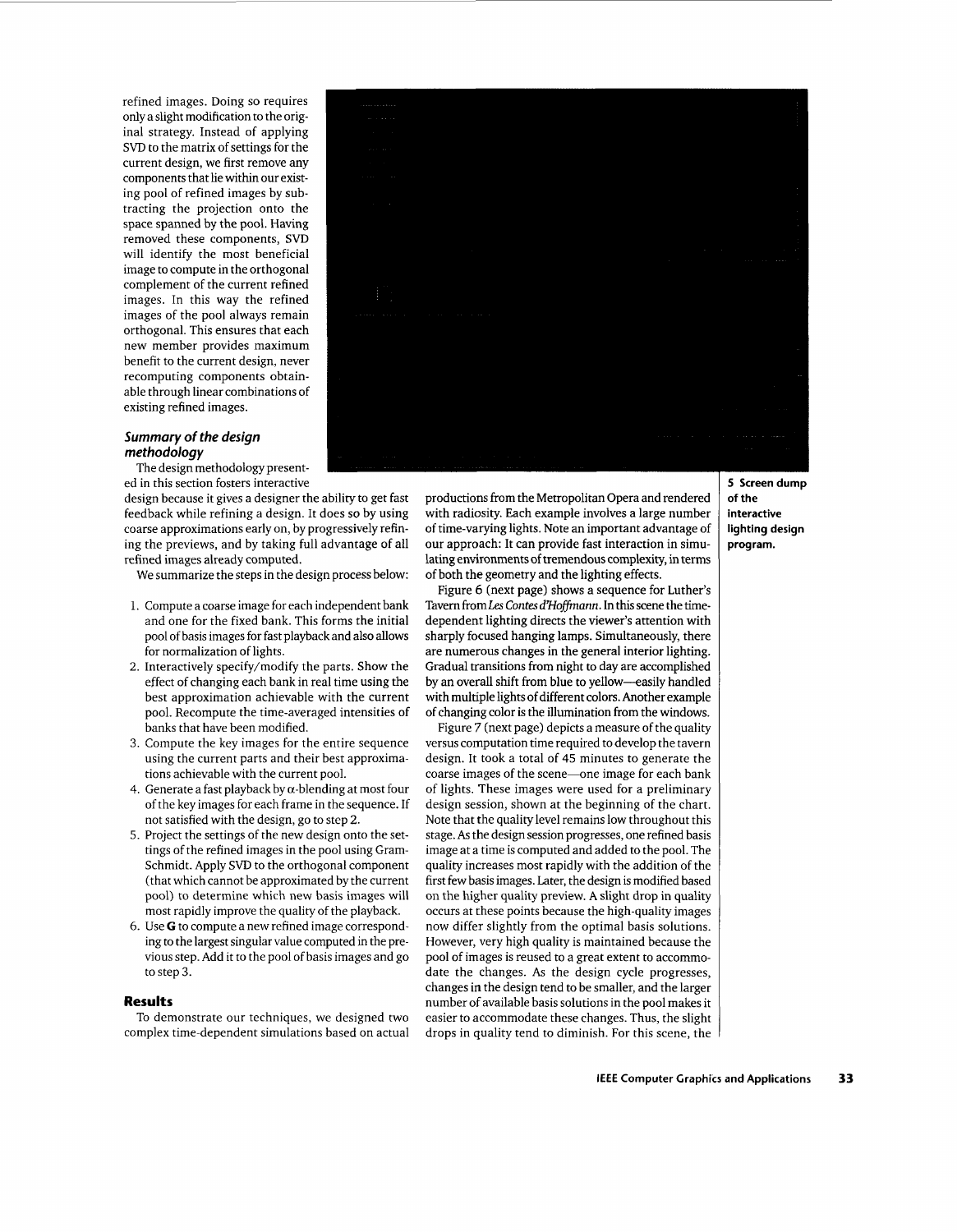refined images. Doing so requires only a slight modification to the original strategy. Instead of applying SVD to the matrix of settings for the current design, we first remove any components that lie within our existing pool of refined images by subtracting the projection onto the space spanned by the pool. Having removed these components, **SVD**  will identify the most beneficial image to compute in the orthogonal complement of the current refined images. In this way the refined images of the pool always remain orthogonal. This ensures that each new member provides maximum benefit to the current design, never recomputing components obtainable through linear combinations of existing refined images.

## *Summary of the design methodology*

The design methodology presented in this section fosters interactive

design because it gives a designer the ability to get fast feedback while refining a design. It does so by using coarse approximations early on, by progressively refining the previews, and by taking full advantage of all refined images already computed.

We summarize the steps in the design process below:

- 1. Compute a coarse image for each independent bank and one for the fixed bank. This forms the initial pool of basis images for fast playback and also allows for normalization of lights.
- 2. Interactively specify/modify the parts. Show the effect of changing each bank in real time using the best approximation achievable with the current pool. Recompute the time-averaged intensities of banks that have been modified.
- 3. Compute the key images for the entire sequence using the current parts and their best approximations achievable with the current pool.
- 4. Generate a fast playback by  $\alpha$ -blending at most four of the key images for each frame in the sequence. If not satisfied with the design, go to step 2.
- 5. Project the settings of the new design onto the settings of the refined images in the pool using Gram-Schmidt. Apply SVD to the orthogonal component (that which cannot be approximated by the current pool) to determine which new basis images will most rapidly improve the quality of the playback.
- 6. Use *G* to compute a new refined image corresponding to the largest singular value computed in the previous step. Add it to the pool of basis images and go to step 3.

## **Results**

To demonstrate our techniques, we designed two complex time-dependent simulations based on actual



productions from the Metropolitan Opera and rendered with radiosity. Each example involves a large number of time-varying lights. Note an important advantage of our approach: It can provide fast interaction in simulating environments of tremendous complexity, in terms of both the geometry and the lighting effects.

Figure 6 (next page) shows a sequence for Luther's Tavern fromLes Conres *d'ffofiann.* In this scene the timedependent lighting directs the viewer's attention with sharply focused hanging lamps. Simultaneously, there are numerous changes in the general interior lighting. Gradual transitions from night to day are accomplished by an overall shift from blue to yellow-easily handled with multiple lights of different colors. Another example of changing color is the illumination from the windows.

Figure 7 (next page) depicts a measure of the quality versus computation time required to develop the tavern design. It took a total of **45** minutes to generate the coarse images of the scene-one image for each bank of lights. These images were used for a preliminary design session, shown at the beginning of the chart. Note that the quality level remains low throughout this stage. **As** the design session progresses, one refined basis image at a time is computed and added to the pool. The quality increases most rapidly with the addition of the first few basis images. Later, the design is modified based on the higher quality preview. **A** slight drop in quality occurs at these points because the high-quality images now differ slightly from the optimal basis solutions. However, very high quality is maintained because the pool of images is reused to a great extent to accommodate the changes. *As* the design cycle progresses, changes in the design tend to be smaller, and the larger number of available basis solutions in the pool makes it easier to accommodate these changes. Thus, the slight drops in quality tend to diminish. For this scene, the **5 Screen dump of the interactive lighting design program.**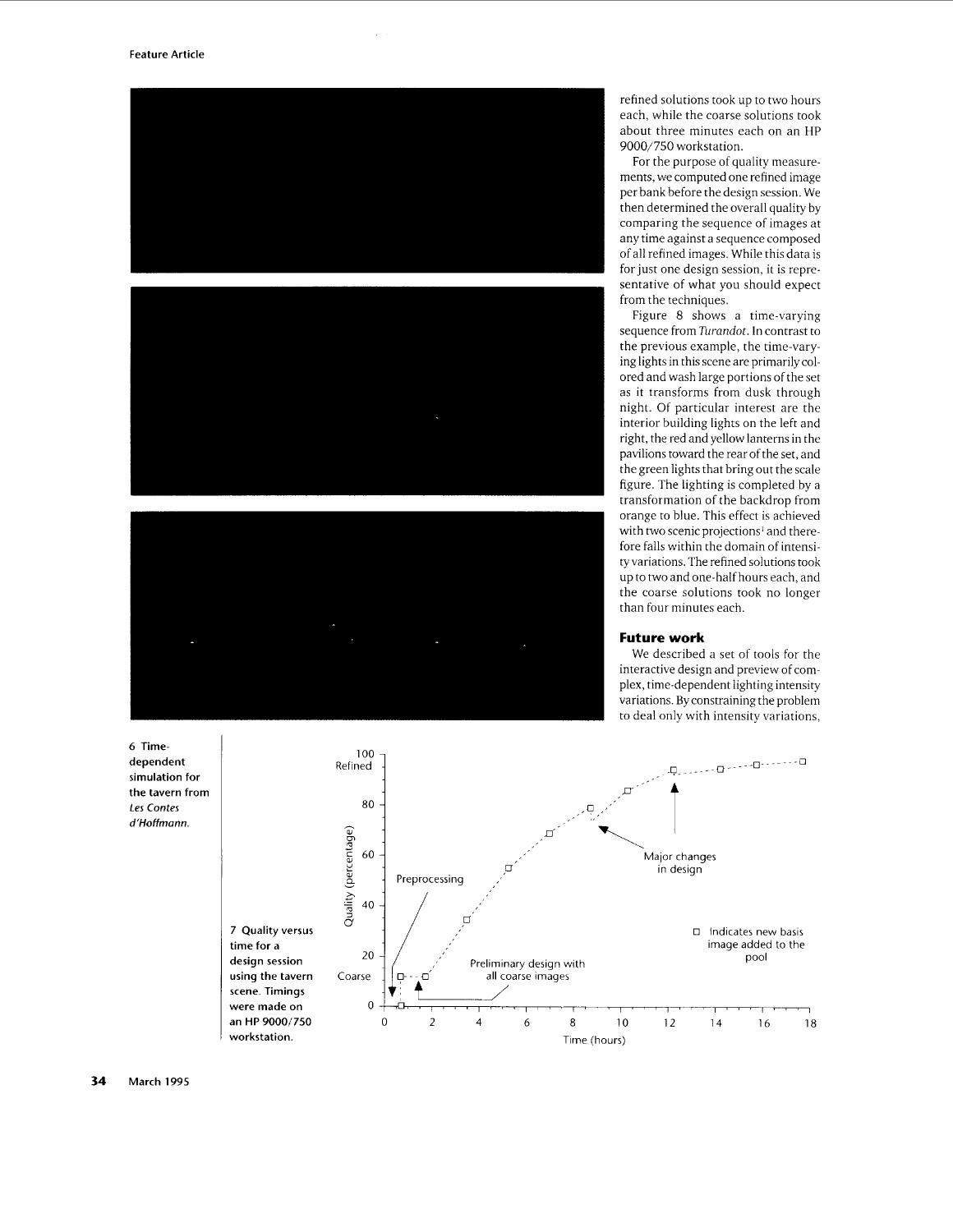

refined solutions took up to two hours each, while the coarse solutions took about three minutes each on an HP *9000/750* workstation.

For the purpose of quality measurements, we computed one refined image per bank before the design session. We then determined the overall quality by comparing the sequence of images at any time against a sequence composed of all refined images. While this data is for just one design session. it is representative of what you should expect from the techniques.

Figure 8 shows a time-varying sequence from *Turandot.* In contrast to the previous example, the time-varying lights in this scene are primarilycolored and wash large portions of the set as it transforms from dusk through night. Of particular interest are the interior building lights on the left and right, the red and yellow lanterns in the pavilions toward the rear of the set, and the green lights that bring out the scale figure. The lighting is completed by a transformation of the backdrop from orange to blue. This effect is achieved with two scenic projections' and therefore falls within the domain of intensity variations. The refined solutions took up to two and one-half hours each, and the coarse solutions took no longer than four minutes each.

## **Future work**

We described a set of tools for the interactive design and preview of complex, time-dependent lighting intensity variations. By constraining the problem to deal only with intensity variations,

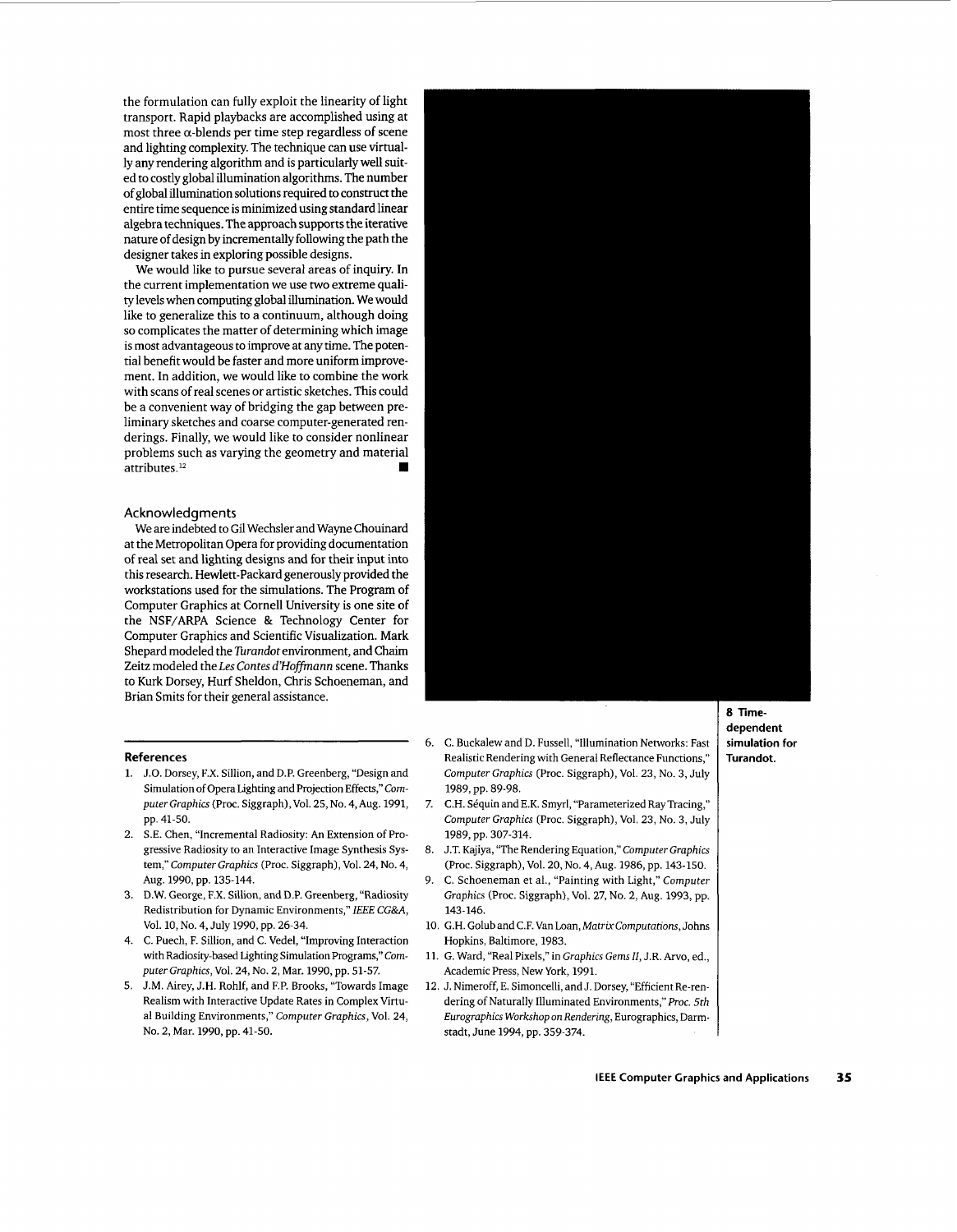the formulation can fully exploit the linearity of light transport. Rapid playbacks are accomplished using at most three  $\alpha$ -blends per time step regardless of scene and lighting complexity. The technique can use virtually any rendering algorithm and is particularly well suited to costly global illumination algorithms. The number of global illumination solutions required to construct the entire time sequence is minimized using standard linear algebra techniques. The approach supports the iterative nature of design by incrementally following the path the designer takes in exploring possible designs.

We would like to pursue several areas of inquiry. In the current implementation we use two extreme quality levels when computing global illumination. We would like to generalize this to a continuum, although doing so complicates the matter of determining which image is most advantageous to improve at anytime. The potential benefit would be faster and more uniform improvement. In addition, we would like to combine the work with scans of real scenes or artistic sketches. This could be a convenient way of bridging the gap between preliminary sketches and coarse computer-generated renderings. Finally, we would like to consider nonlinear problems such as varying the geometry and material attributes.12

#### **Acknowledgments**

We are indebted to **Gil** Wechsler and Wayne Chouinard at the Metropolitan Opera for providing documentation of real set and lighting designs and for their input into this research. Hewlett-Packard generously provided the workstations used for the simulations. The Program of Computer Graphics at Cornel1 University is one site of the NSF/ARPA Science & Technology Center for Computer Graphics and Scientific Visualization. Mark Shepard modeled the *Turandor* environment, and Chaim Zeitz modeled the *Les Conres d'Hofiann* scene. Thanks to Kurk Dorsey, Hurf Sheldon, Chris Schoeneman, and Brian Smits for their general assistance.

## **References**

- 1. J.O. Dorsey, F.X. Sillion, and D.P. Greenberg, "Design and Simulation of Opera Lighting and Projection Effects," *Com*puter Graphics (Proc. Siggraph), Vol. 25, No. 4, Aug. 1991, pp. 41-50.
- 2. S.E. Chen, "Incremental Radiosity: **An** Extension of Progressive Radiosity to an Interactive Image Synthesis System," *Computer Graphics* (Proc. Siggraph), Vol. 24, No. 4, AUg. 1990, pp. 135-144.
- 3. D.W. George, F.X. Sillion, and **D.P.** Greenberg, "Radiosity Redistribution for Dynamic Environments," *IEEE* CG&A, Vol. 10, No. 4, July 1990, pp. 26-34.
- 4. C. Puech, F. Sillion, and C. Vedel, "Improving Interaction with Radiosity-based Lighting Simulation Programs," Com*puter Graphics,* Vol. 24, No. 2, Mar. 1990, pp. 51-57.
- 5. J.M. Airey, J.H. Rohlf, and F.P. Brooks, "Towards Image Realism with Interactive Update Rates in Complex Virtual Building Environments," *Computer Graphics,* Vol. 24, No. 2, Mar. 1990, pp. 41-50.
- 6. C. Buckalew and D. Fussell, "Illumination Networks: Fast Realistic Rendering with General Reflectance Functions," *Computer Graphics* (Proc. Siggraph), Vol. 23, No. 3, July 1989, pp. 89-98.
- 7. C.H. Séquin and E.K. Smyrl, "Parameterized Ray Tracing," Computer Graphics (Proc. Siggraph), Vol. 23, No. 3, July 1989, pp. 307-314.
- 8. J.T. Kajiya, "The Rendering Equation," *Computer Graphics*  (Proc. Siggraph), Vol. 20, No. 4, Aug. 1986, pp. 143-150.
- 9. C. Schoeneman et al., "Painting with Light," *Computer Graphics* (Proc. Siggraph), Vol. 27, No. 2, Aug. 1993, pp. 143-146.
- 10. G.H. Golub and C.F. Van Loan, *Matrix Computations*, Johns Hopkins, Baltimore, 1983.
- 11. G. Ward, "Real Pixels," in *Graphics Gems 11,* J.R. *Arvo,* ed., Academic Press, New York, 1991.
- 12. J. Nimeroff, E. Simoncelli, and J. Dorsey, "Efficient Re-rendering of Naturally Illuminated Environments," *Roc. 5th Eurographics Workshop on Rendering,* Eurographics, Darmstadt, June 1994, pp. 359-374.

*8* **Time**dependent simulation for Turandot.